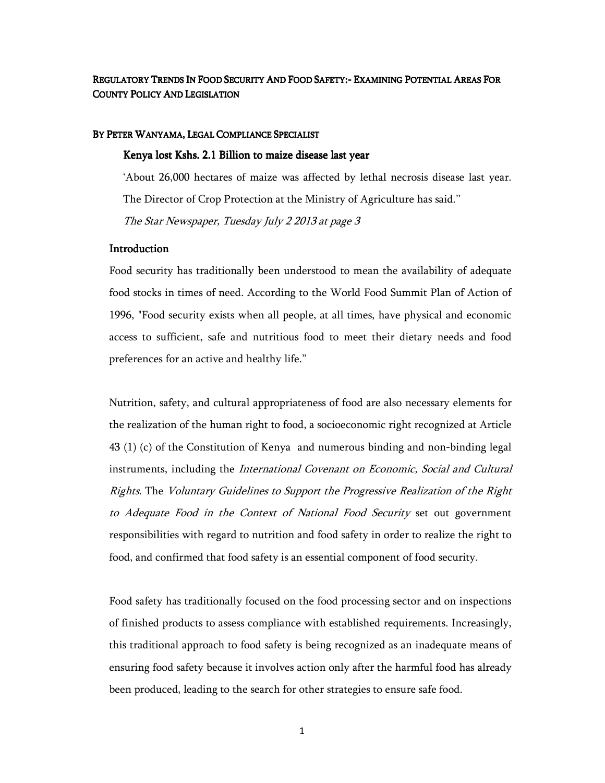REGULATORY TRENDS IN FOOD SECURITY AND FOOD SAFETY:- EXAMINING POTENTIAL AREAS FOR COUNTY POLICY AND LEGISLATION

#### BY PETER WANYAMA, LEGAL COMPLIANCE SPECIALIST

#### Kenya lost Kshs. 2.1 Billion to maize disease last year

'About 26,000 hectares of maize was affected by lethal necrosis disease last year. The Director of Crop Protection at the Ministry of Agriculture has said.'' The Star Newspaper, Tuesday July 2 2013 at page 3

#### **Introduction**

Food security has traditionally been understood to mean the availability of adequate food stocks in times of need. According to the World Food Summit Plan of Action of 1996, "Food security exists when all people, at all times, have physical and economic access to sufficient, safe and nutritious food to meet their dietary needs and food preferences for an active and healthy life."

Nutrition, safety, and cultural appropriateness of food are also necessary elements for the realization of the human right to food, a socioeconomic right recognized at Article 43 (1) (c) of the Constitution of Kenya and numerous binding and non-binding legal instruments, including the *International Covenant on Economic, Social and Cultural* Rights. The Voluntary Guidelines to Support the Progressive Realization of the Right to Adequate Food in the Context of National Food Security set out government responsibilities with regard to nutrition and food safety in order to realize the right to food, and confirmed that food safety is an essential component of food security.

Food safety has traditionally focused on the food processing sector and on inspections of finished products to assess compliance with established requirements. Increasingly, this traditional approach to food safety is being recognized as an inadequate means of ensuring food safety because it involves action only after the harmful food has already been produced, leading to the search for other strategies to ensure safe food.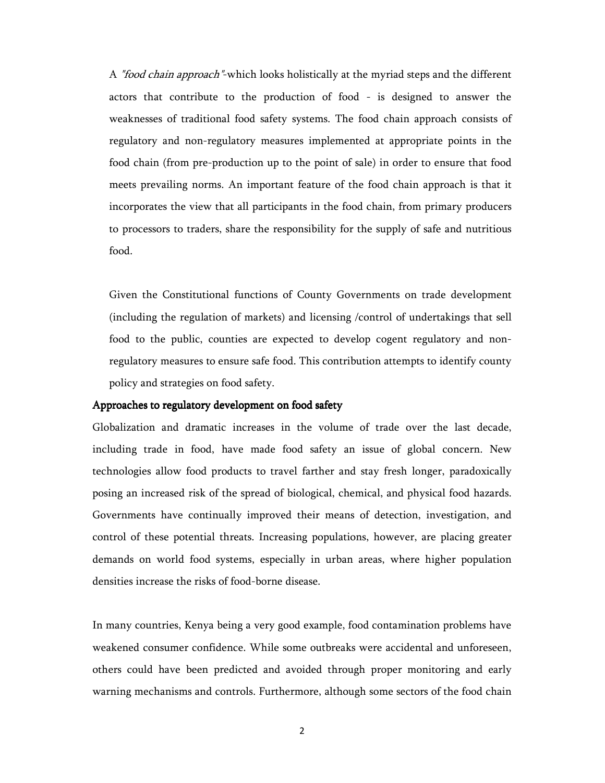A "food chain approach"-which looks holistically at the myriad steps and the different actors that contribute to the production of food - is designed to answer the weaknesses of traditional food safety systems. The food chain approach consists of regulatory and non-regulatory measures implemented at appropriate points in the food chain (from pre-production up to the point of sale) in order to ensure that food meets prevailing norms. An important feature of the food chain approach is that it incorporates the view that all participants in the food chain, from primary producers to processors to traders, share the responsibility for the supply of safe and nutritious food.

Given the Constitutional functions of County Governments on trade development (including the regulation of markets) and licensing /control of undertakings that sell food to the public, counties are expected to develop cogent regulatory and nonregulatory measures to ensure safe food. This contribution attempts to identify county policy and strategies on food safety.

### Approaches to regulatory development on food safety

Globalization and dramatic increases in the volume of trade over the last decade, including trade in food, have made food safety an issue of global concern. New technologies allow food products to travel farther and stay fresh longer, paradoxically posing an increased risk of the spread of biological, chemical, and physical food hazards. Governments have continually improved their means of detection, investigation, and control of these potential threats. Increasing populations, however, are placing greater demands on world food systems, especially in urban areas, where higher population densities increase the risks of food-borne disease.

In many countries, Kenya being a very good example, food contamination problems have weakened consumer confidence. While some outbreaks were accidental and unforeseen, others could have been predicted and avoided through proper monitoring and early warning mechanisms and controls. Furthermore, although some sectors of the food chain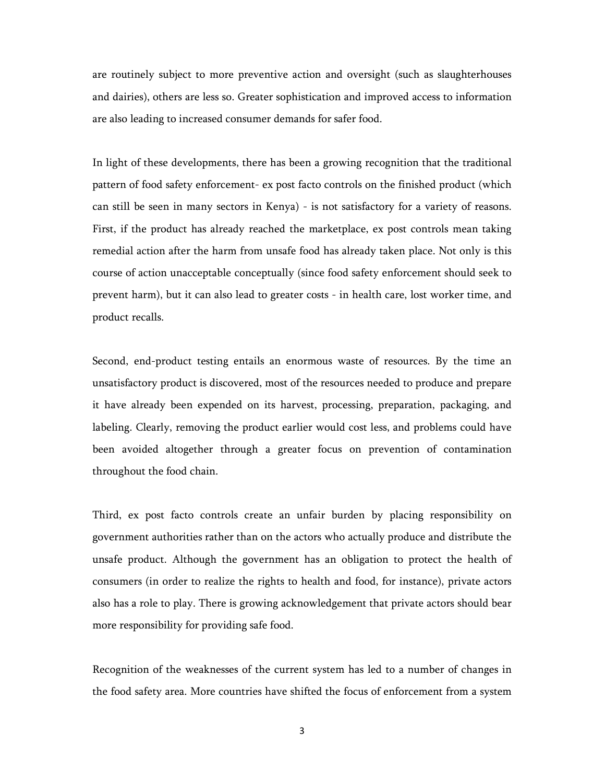are routinely subject to more preventive action and oversight (such as slaughterhouses and dairies), others are less so. Greater sophistication and improved access to information are also leading to increased consumer demands for safer food.

In light of these developments, there has been a growing recognition that the traditional pattern of food safety enforcement- ex post facto controls on the finished product (which can still be seen in many sectors in Kenya) - is not satisfactory for a variety of reasons. First, if the product has already reached the marketplace, ex post controls mean taking remedial action after the harm from unsafe food has already taken place. Not only is this course of action unacceptable conceptually (since food safety enforcement should seek to prevent harm), but it can also lead to greater costs - in health care, lost worker time, and product recalls.

Second, end-product testing entails an enormous waste of resources. By the time an unsatisfactory product is discovered, most of the resources needed to produce and prepare it have already been expended on its harvest, processing, preparation, packaging, and labeling. Clearly, removing the product earlier would cost less, and problems could have been avoided altogether through a greater focus on prevention of contamination throughout the food chain.

Third, ex post facto controls create an unfair burden by placing responsibility on government authorities rather than on the actors who actually produce and distribute the unsafe product. Although the government has an obligation to protect the health of consumers (in order to realize the rights to health and food, for instance), private actors also has a role to play. There is growing acknowledgement that private actors should bear more responsibility for providing safe food.

Recognition of the weaknesses of the current system has led to a number of changes in the food safety area. More countries have shifted the focus of enforcement from a system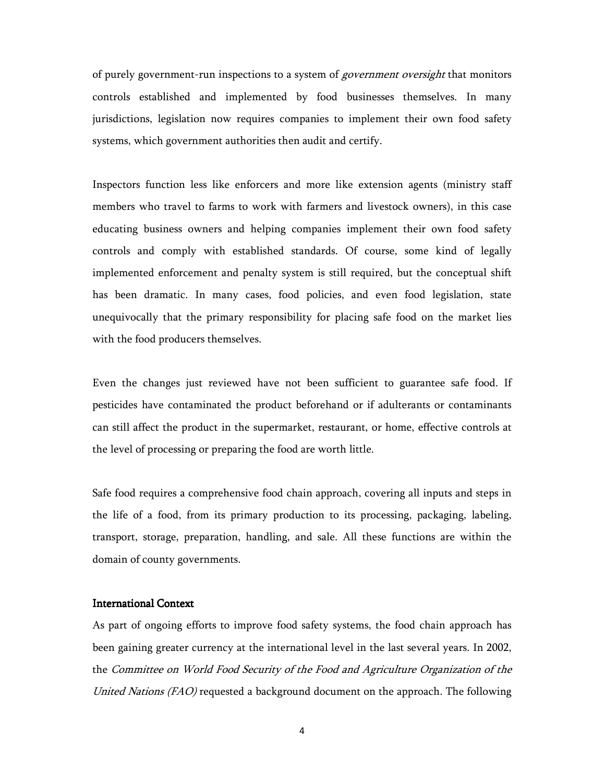of purely government-run inspections to a system of *government oversight* that monitors controls established and implemented by food businesses themselves. In many jurisdictions, legislation now requires companies to implement their own food safety systems, which government authorities then audit and certify.

Inspectors function less like enforcers and more like extension agents (ministry staff members who travel to farms to work with farmers and livestock owners), in this case educating business owners and helping companies implement their own food safety controls and comply with established standards. Of course, some kind of legally implemented enforcement and penalty system is still required, but the conceptual shift has been dramatic. In many cases, food policies, and even food legislation, state unequivocally that the primary responsibility for placing safe food on the market lies with the food producers themselves.

Even the changes just reviewed have not been sufficient to guarantee safe food. If pesticides have contaminated the product beforehand or if adulterants or contaminants can still affect the product in the supermarket, restaurant, or home, effective controls at the level of processing or preparing the food are worth little.

Safe food requires a comprehensive food chain approach, covering all inputs and steps in the life of a food, from its primary production to its processing, packaging, labeling, transport, storage, preparation, handling, and sale. All these functions are within the domain of county governments.

# **International Context**

As part of ongoing efforts to improve food safety systems, the food chain approach has been gaining greater currency at the international level in the last several years. In 2002, the Committee on World Food Security of the Food and Agriculture Organization of the United Nations (FAO) requested a background document on the approach. The following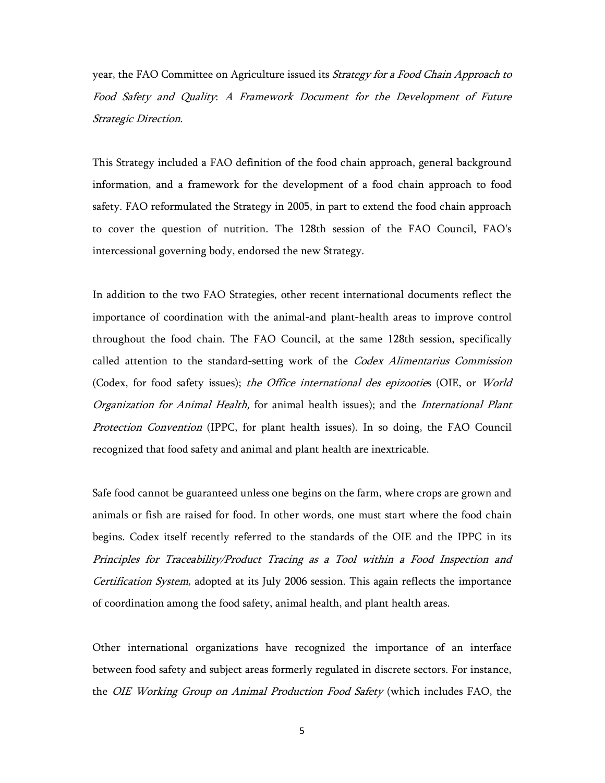year, the FAO Committee on Agriculture issued its *Strategy for a Food Chain Approach to* Food Safety and Quality: A Framework Document for the Development of Future Strategic Direction.

This Strategy included a FAO definition of the food chain approach, general background information, and a framework for the development of a food chain approach to food safety. FAO reformulated the Strategy in 2005, in part to extend the food chain approach to cover the question of nutrition. The 128th session of the FAO Council, FAO's intercessional governing body, endorsed the new Strategy.

In addition to the two FAO Strategies, other recent international documents reflect the importance of coordination with the animal-and plant-health areas to improve control throughout the food chain. The FAO Council, at the same 128th session, specifically called attention to the standard-setting work of the *Codex Alimentarius Commission* (Codex, for food safety issues); the Office international des epizooties (OIE, or World Organization for Animal Health, for animal health issues); and the International Plant Protection Convention (IPPC, for plant health issues). In so doing, the FAO Council recognized that food safety and animal and plant health are inextricable.

Safe food cannot be guaranteed unless one begins on the farm, where crops are grown and animals or fish are raised for food. In other words, one must start where the food chain begins. Codex itself recently referred to the standards of the OIE and the IPPC in its Principles for Traceability/Product Tracing as a Tool within a Food Inspection and Certification System, adopted at its July 2006 session. This again reflects the importance of coordination among the food safety, animal health, and plant health areas.

Other international organizations have recognized the importance of an interface between food safety and subject areas formerly regulated in discrete sectors. For instance, the *OIE Working Group on Animal Production Food Safety* (which includes FAO, the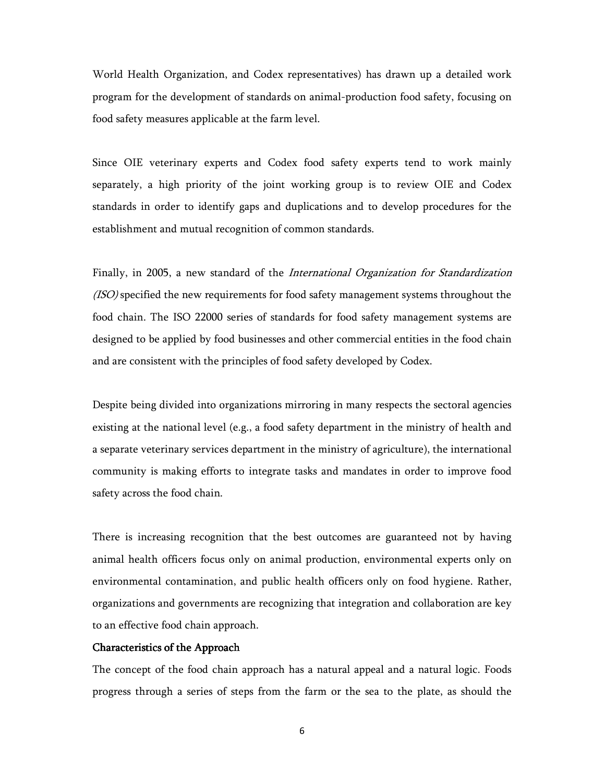World Health Organization, and Codex representatives) has drawn up a detailed work program for the development of standards on animal-production food safety, focusing on food safety measures applicable at the farm level.

Since OIE veterinary experts and Codex food safety experts tend to work mainly separately, a high priority of the joint working group is to review OIE and Codex standards in order to identify gaps and duplications and to develop procedures for the establishment and mutual recognition of common standards.

Finally, in 2005, a new standard of the *International Organization for Standardization* (ISO) specified the new requirements for food safety management systems throughout the food chain. The ISO 22000 series of standards for food safety management systems are designed to be applied by food businesses and other commercial entities in the food chain and are consistent with the principles of food safety developed by Codex.

Despite being divided into organizations mirroring in many respects the sectoral agencies existing at the national level (e.g., a food safety department in the ministry of health and a separate veterinary services department in the ministry of agriculture), the international community is making efforts to integrate tasks and mandates in order to improve food safety across the food chain.

There is increasing recognition that the best outcomes are guaranteed not by having animal health officers focus only on animal production, environmental experts only on environmental contamination, and public health officers only on food hygiene. Rather, organizations and governments are recognizing that integration and collaboration are key to an effective food chain approach.

## Characteristics of the Approach

The concept of the food chain approach has a natural appeal and a natural logic. Foods progress through a series of steps from the farm or the sea to the plate, as should the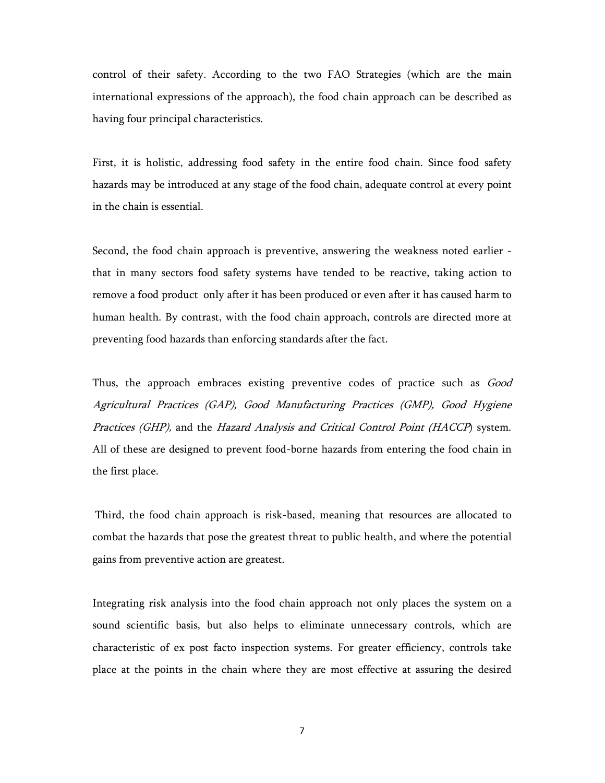control of their safety. According to the two FAO Strategies (which are the main international expressions of the approach), the food chain approach can be described as having four principal characteristics.

First, it is holistic, addressing food safety in the entire food chain. Since food safety hazards may be introduced at any stage of the food chain, adequate control at every point in the chain is essential.

Second, the food chain approach is preventive, answering the weakness noted earlier that in many sectors food safety systems have tended to be reactive, taking action to remove a food product only after it has been produced or even after it has caused harm to human health. By contrast, with the food chain approach, controls are directed more at preventing food hazards than enforcing standards after the fact.

Thus, the approach embraces existing preventive codes of practice such as *Good* Agricultural Practices (GAP), Good Manufacturing Practices (GMP), Good Hygiene Practices (GHP), and the Hazard Analysis and Critical Control Point (HACCP) system. All of these are designed to prevent food-borne hazards from entering the food chain in the first place.

 Third, the food chain approach is risk-based, meaning that resources are allocated to combat the hazards that pose the greatest threat to public health, and where the potential gains from preventive action are greatest.

Integrating risk analysis into the food chain approach not only places the system on a sound scientific basis, but also helps to eliminate unnecessary controls, which are characteristic of ex post facto inspection systems. For greater efficiency, controls take place at the points in the chain where they are most effective at assuring the desired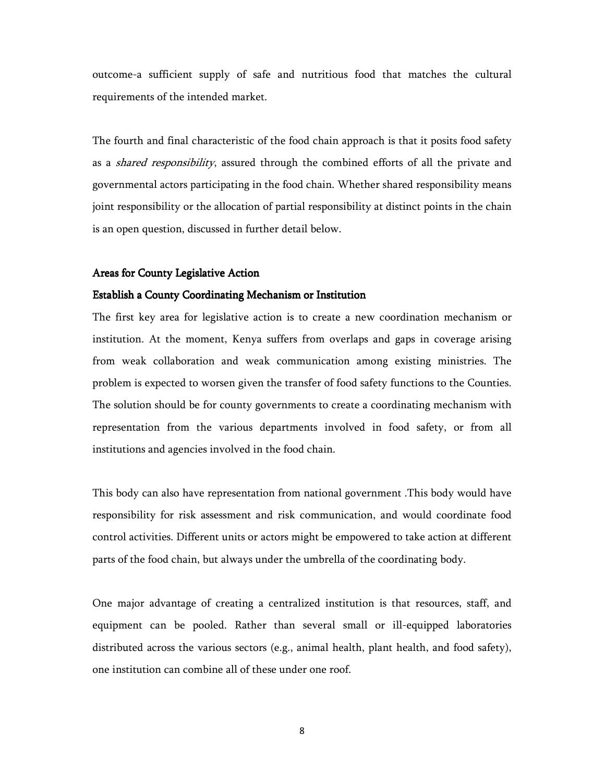outcome-a sufficient supply of safe and nutritious food that matches the cultural requirements of the intended market.

The fourth and final characteristic of the food chain approach is that it posits food safety as a shared responsibility, assured through the combined efforts of all the private and governmental actors participating in the food chain. Whether shared responsibility means joint responsibility or the allocation of partial responsibility at distinct points in the chain is an open question, discussed in further detail below.

#### Areas for County Legislative Action

#### Establish a County Coordinating Mechanism or Institution

The first key area for legislative action is to create a new coordination mechanism or institution. At the moment, Kenya suffers from overlaps and gaps in coverage arising from weak collaboration and weak communication among existing ministries. The problem is expected to worsen given the transfer of food safety functions to the Counties. The solution should be for county governments to create a coordinating mechanism with representation from the various departments involved in food safety, or from all institutions and agencies involved in the food chain.

This body can also have representation from national government .This body would have responsibility for risk assessment and risk communication, and would coordinate food control activities. Different units or actors might be empowered to take action at different parts of the food chain, but always under the umbrella of the coordinating body.

One major advantage of creating a centralized institution is that resources, staff, and equipment can be pooled. Rather than several small or ill-equipped laboratories distributed across the various sectors (e.g., animal health, plant health, and food safety), one institution can combine all of these under one roof.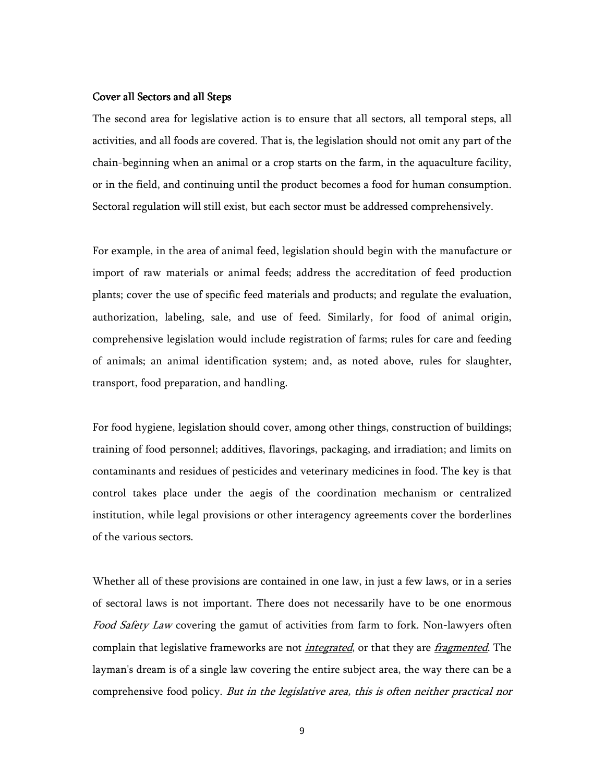## Cover all Sectors and all Steps

The second area for legislative action is to ensure that all sectors, all temporal steps, all activities, and all foods are covered. That is, the legislation should not omit any part of the chain-beginning when an animal or a crop starts on the farm, in the aquaculture facility, or in the field, and continuing until the product becomes a food for human consumption. Sectoral regulation will still exist, but each sector must be addressed comprehensively.

For example, in the area of animal feed, legislation should begin with the manufacture or import of raw materials or animal feeds; address the accreditation of feed production plants; cover the use of specific feed materials and products; and regulate the evaluation, authorization, labeling, sale, and use of feed. Similarly, for food of animal origin, comprehensive legislation would include registration of farms; rules for care and feeding of animals; an animal identification system; and, as noted above, rules for slaughter, transport, food preparation, and handling.

For food hygiene, legislation should cover, among other things, construction of buildings; training of food personnel; additives, flavorings, packaging, and irradiation; and limits on contaminants and residues of pesticides and veterinary medicines in food. The key is that control takes place under the aegis of the coordination mechanism or centralized institution, while legal provisions or other interagency agreements cover the borderlines of the various sectors.

Whether all of these provisions are contained in one law, in just a few laws, or in a series of sectoral laws is not important. There does not necessarily have to be one enormous Food Safety Law covering the gamut of activities from farm to fork. Non-lawyers often complain that legislative frameworks are not *integrated*, or that they are *fragmented*. The layman's dream is of a single law covering the entire subject area, the way there can be a comprehensive food policy. But in the legislative area, this is often neither practical nor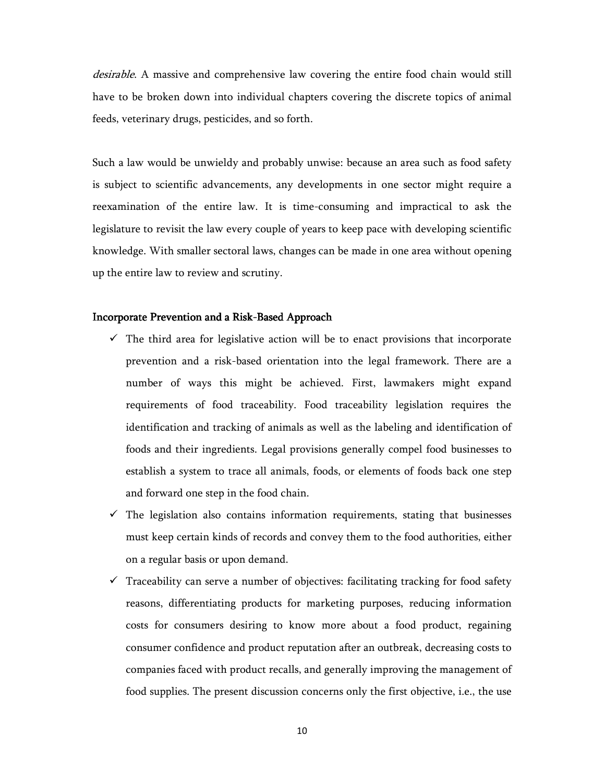desirable. A massive and comprehensive law covering the entire food chain would still have to be broken down into individual chapters covering the discrete topics of animal feeds, veterinary drugs, pesticides, and so forth.

Such a law would be unwieldy and probably unwise: because an area such as food safety is subject to scientific advancements, any developments in one sector might require a reexamination of the entire law. It is time-consuming and impractical to ask the legislature to revisit the law every couple of years to keep pace with developing scientific knowledge. With smaller sectoral laws, changes can be made in one area without opening up the entire law to review and scrutiny.

# Incorporate Prevention and a Risk-Based Approach

- $\checkmark$  The third area for legislative action will be to enact provisions that incorporate prevention and a risk-based orientation into the legal framework. There are a number of ways this might be achieved. First, lawmakers might expand requirements of food traceability. Food traceability legislation requires the identification and tracking of animals as well as the labeling and identification of foods and their ingredients. Legal provisions generally compel food businesses to establish a system to trace all animals, foods, or elements of foods back one step and forward one step in the food chain.
- $\checkmark$  The legislation also contains information requirements, stating that businesses must keep certain kinds of records and convey them to the food authorities, either on a regular basis or upon demand.
- $\checkmark$  Traceability can serve a number of objectives: facilitating tracking for food safety reasons, differentiating products for marketing purposes, reducing information costs for consumers desiring to know more about a food product, regaining consumer confidence and product reputation after an outbreak, decreasing costs to companies faced with product recalls, and generally improving the management of food supplies. The present discussion concerns only the first objective, i.e., the use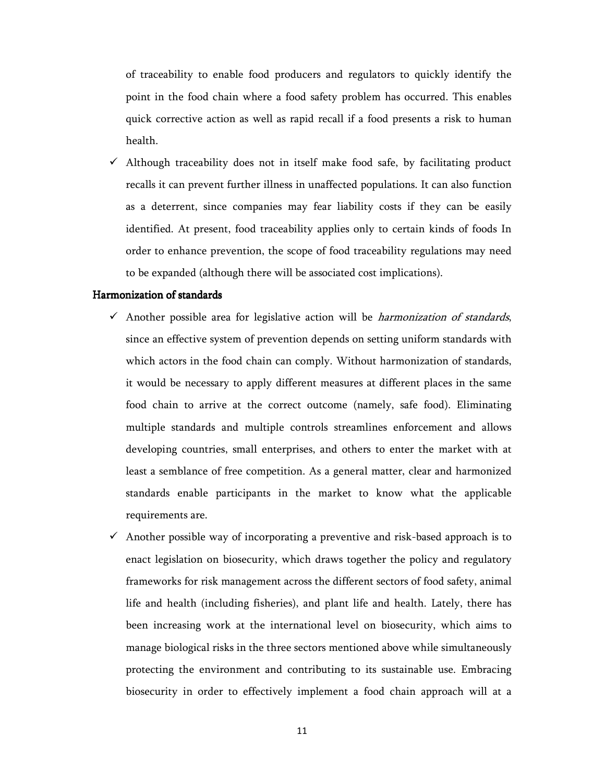of traceability to enable food producers and regulators to quickly identify the point in the food chain where a food safety problem has occurred. This enables quick corrective action as well as rapid recall if a food presents a risk to human health.

 $\checkmark$  Although traceability does not in itself make food safe, by facilitating product recalls it can prevent further illness in unaffected populations. It can also function as a deterrent, since companies may fear liability costs if they can be easily identified. At present, food traceability applies only to certain kinds of foods In order to enhance prevention, the scope of food traceability regulations may need to be expanded (although there will be associated cost implications).

### Harmonization of standards

- $\checkmark$  Another possible area for legislative action will be *harmonization of standards*, since an effective system of prevention depends on setting uniform standards with which actors in the food chain can comply. Without harmonization of standards, it would be necessary to apply different measures at different places in the same food chain to arrive at the correct outcome (namely, safe food). Eliminating multiple standards and multiple controls streamlines enforcement and allows developing countries, small enterprises, and others to enter the market with at least a semblance of free competition. As a general matter, clear and harmonized standards enable participants in the market to know what the applicable requirements are.
- $\checkmark$  Another possible way of incorporating a preventive and risk-based approach is to enact legislation on biosecurity, which draws together the policy and regulatory frameworks for risk management across the different sectors of food safety, animal life and health (including fisheries), and plant life and health. Lately, there has been increasing work at the international level on biosecurity, which aims to manage biological risks in the three sectors mentioned above while simultaneously protecting the environment and contributing to its sustainable use. Embracing biosecurity in order to effectively implement a food chain approach will at a